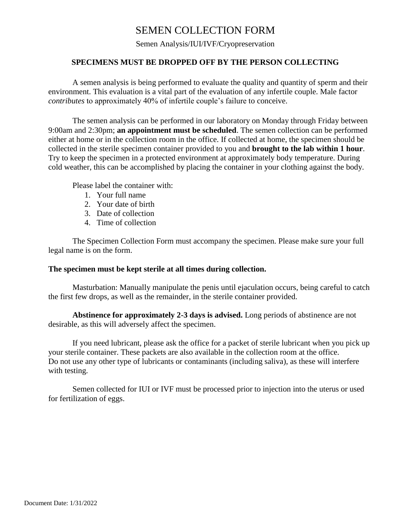## SEMEN COLLECTION FORM

Semen Analysis/IUI/IVF/Cryopreservation

### **SPECIMENS MUST BE DROPPED OFF BY THE PERSON COLLECTING**

A semen analysis is being performed to evaluate the quality and quantity of sperm and their environment. This evaluation is a vital part of the evaluation of any infertile couple. Male factor *contributes* to approximately 40% of infertile couple's failure to conceive.

The semen analysis can be performed in our laboratory on Monday through Friday between 9:00am and 2:30pm; **an appointment must be scheduled**. The semen collection can be performed either at home or in the collection room in the office. If collected at home, the specimen should be collected in the sterile specimen container provided to you and **brought to the lab within 1 hour**. Try to keep the specimen in a protected environment at approximately body temperature. During cold weather, this can be accomplished by placing the container in your clothing against the body.

Please label the container with:

- 1. Your full name
- 2. Your date of birth
- 3. Date of collection
- 4. Time of collection

The Specimen Collection Form must accompany the specimen. Please make sure your full legal name is on the form.

#### **The specimen must be kept sterile at all times during collection.**

Masturbation: Manually manipulate the penis until ejaculation occurs, being careful to catch the first few drops, as well as the remainder, in the sterile container provided.

**Abstinence for approximately 2-3 days is advised.** Long periods of abstinence are not desirable, as this will adversely affect the specimen.

If you need lubricant, please ask the office for a packet of sterile lubricant when you pick up your sterile container. These packets are also available in the collection room at the office. Do not use any other type of lubricants or contaminants (including saliva), as these will interfere with testing.

Semen collected for IUI or IVF must be processed prior to injection into the uterus or used for fertilization of eggs.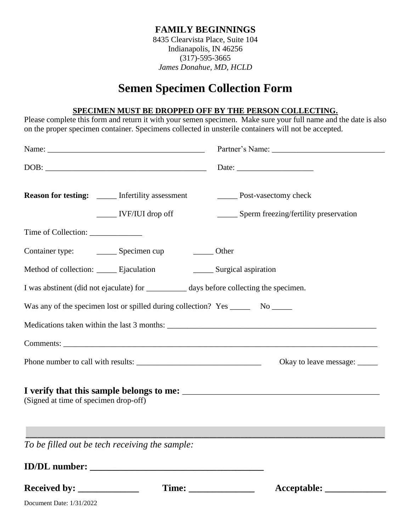## **FAMILY BEGINNINGS**

8435 Clearvista Place, Suite 104 Indianapolis, IN 46256 (317)-595-3665 *James Donahue, MD, HCLD*

# **Semen Specimen Collection Form**

### **SPECIMEN MUST BE DROPPED OFF BY THE PERSON COLLECTING.**

Please complete this form and return it with your semen specimen. Make sure your full name and the date is also on the proper specimen container. Specimens collected in unsterile containers will not be accepted.

| <b>Reason for testing:</b> _____ Infertility assessment<br>$\frac{1}{\sqrt{1-\frac{1}{2}}}$ IVF/IUI drop off                                                                                                                                                                                                                                                                                                       |                             | <b>EXECUTE:</b> Post-vasectomy check<br>______ Sperm freezing/fertility preservation |
|--------------------------------------------------------------------------------------------------------------------------------------------------------------------------------------------------------------------------------------------------------------------------------------------------------------------------------------------------------------------------------------------------------------------|-----------------------------|--------------------------------------------------------------------------------------|
| Time of Collection: ______________                                                                                                                                                                                                                                                                                                                                                                                 |                             |                                                                                      |
| Container type: Specimen cup                                                                                                                                                                                                                                                                                                                                                                                       | _______ Other               |                                                                                      |
| Method of collection: _______ Ejaculation                                                                                                                                                                                                                                                                                                                                                                          | _______ Surgical aspiration |                                                                                      |
| I was abstinent (did not ejaculate) for ____________ days before collecting the specimen.                                                                                                                                                                                                                                                                                                                          |                             |                                                                                      |
| Was any of the specimen lost or spilled during collection? Yes ________ No ______                                                                                                                                                                                                                                                                                                                                  |                             |                                                                                      |
|                                                                                                                                                                                                                                                                                                                                                                                                                    |                             |                                                                                      |
|                                                                                                                                                                                                                                                                                                                                                                                                                    |                             |                                                                                      |
|                                                                                                                                                                                                                                                                                                                                                                                                                    |                             | Okay to leave message: ______                                                        |
| (Signed at time of specimen drop-off)                                                                                                                                                                                                                                                                                                                                                                              |                             |                                                                                      |
| To be filled out be tech receiving the sample:                                                                                                                                                                                                                                                                                                                                                                     |                             |                                                                                      |
|                                                                                                                                                                                                                                                                                                                                                                                                                    |                             |                                                                                      |
| Received by: $\frac{1}{\sqrt{1-\frac{1}{2}}}\frac{1}{\sqrt{1-\frac{1}{2}}}\frac{1}{\sqrt{1-\frac{1}{2}}}\frac{1}{\sqrt{1-\frac{1}{2}}}\frac{1}{\sqrt{1-\frac{1}{2}}}\frac{1}{\sqrt{1-\frac{1}{2}}}\frac{1}{\sqrt{1-\frac{1}{2}}}\frac{1}{\sqrt{1-\frac{1}{2}}}\frac{1}{\sqrt{1-\frac{1}{2}}}\frac{1}{\sqrt{1-\frac{1}{2}}}\frac{1}{\sqrt{1-\frac{1}{2}}}\frac{1}{\sqrt{1-\frac{1}{2}}}\frac{1}{\sqrt{1-\frac{1}{2$ |                             |                                                                                      |

Document Date: 1/31/2022